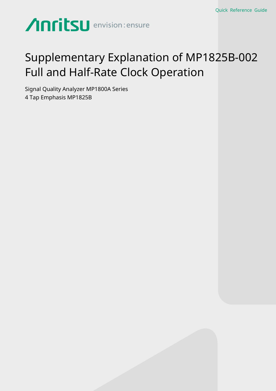# Anritsu envision: ensure

### Supplementary Explanation of MP1825B-002 Full and Half-Rate Clock Operation

Signal Quality Analyzer MP1800A Series 4 Tap Emphasis MP1825B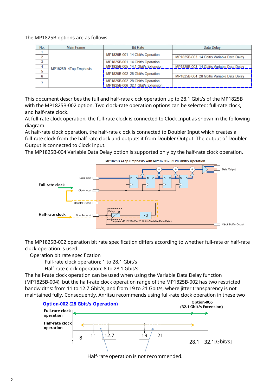The MP1825B options are as follows.

| No. | <b>Main Frame</b>     | <b>Bit Rate</b>                   | Data Delay                                |
|-----|-----------------------|-----------------------------------|-------------------------------------------|
|     | MP1825B 4Tap Emphasis | MP1825B-001 14 Gbit/s Operation   |                                           |
|     |                       |                                   | MP1825B-003 14 Gbit/s Variable Data Delay |
|     |                       | MP1825B-001 14 Gbit/s Operation   |                                           |
|     |                       | MP1825B-005 14.1 Gbit/s Extension | MP1825B-003 14 Gbit/s Variable Data Delay |
| 5   |                       | MP1825B-002 28 Gbit/s Operation   |                                           |
| 6   |                       |                                   | MP1825B-004 28 Gbit/s Variable Data Delay |
|     |                       | MP1825B-002 28 Gbit/s Operation   |                                           |
|     |                       | MP1825B-006 32.1 Gbit/s Extension |                                           |

This document describes the full and half-rate clock operation up to 28.1 Gbit/s of the MP1825B with the MP1825B-002 option. Two clock-rate operation options can be selected: full-rate clock, and half-rate clock.

At full-rate clock operation, the full-rate clock is connected to Clock Input as shown in the following diagram.

At half-rate clock operation, the half-rate clock is connected to Doubler Input which creates a full-rate clock from the half-rate clock and outputs it from Doubler Output. The output of Doubler Output is connected to Clock Input.

The MP1825B-004 Variable Data Delay option is supported only by the half-rate clock operation.



The MP1825B-002 operation bit rate specification differs according to whether full-rate or half-rate clock operation is used.

Operation bit rate specification

Full-rate clock operation: 1 to 28.1 Gbit/s

Half-rate clock operation: 8 to 28.1 Gbit/s

The half-rate clock operation can be used when using the Variable Data Delay function (MP1825B-004), but the half-rate clock operation range of the MP1825B-002 has two restricted bandwidths: from 11 to 12.7 Gbit/s, and from 19 to 21 Gbit/s, where jitter transparency is not maintained fully. Consequently, Anritsu recommends using full-rate clock operation in these two



Half-rate operation is not recommended.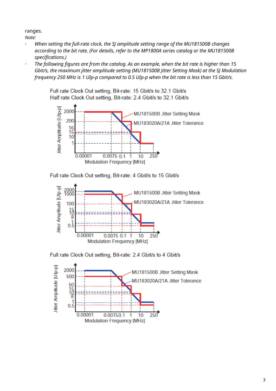ranges.

*Note:*

- *When setting the full-rate clock, the SJ amplitude setting range of the MU181500B changes according to the bit rate. (For details, refer to the MP1800A series catalog or the MU181500B specifications.)*
- *The following figures are from the catalog. As an example, when the bit rate is higher than 15 Gbit/s, the maximum jitter amplitude setting (MU181500B Jitter Setting Mask) at the SJ Modulation frequency 250 MHz is 1 UIp-p compared to 0.5 UIp-p when the bit rate is less than 15 Gbit/s.*

Full rate Clock Out setting, Bit-rate: 15 Gbit/s to 32.1 Gbit/s Half rate Clock Out setting, Bit-rate: 2.4 Gbit/s to 32.1 Gbit/s



Full rate Clock Out setting, Bit-rate: 4 Gbit/s to 15 Gbit/s



Full rate Clock Out setting, Bit-rate: 2.4 Gbit/s to 4 Gbit/s

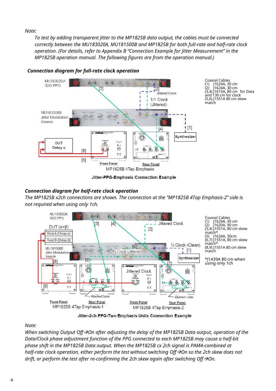#### *Note:*

*To test by adding transparent Jitter to the MP1825B data output, the cables must be connected correctly between the MU183020A, MU181500B and MP1825B for both full-rate and half-rate clock operation. (For details, refer to Appendix B "Connection Example for Jitter Measurement" in the MP1825B operation manual. The following figures are from the operation manual.)*



*Connection diagram for full-rate clock operation*

Coaxial Cables (1) J1624A, 30 cm (2) J1624A, 30 cm (3,4) J1615A, 80 cm for Data and 130 cm for clock (5,6) J1551A 80 cm skew match

#### Jitter-PPG-Emphasis Connection Example

#### *Connection diagram for half-rate clock operation*

*The MP1825B x2ch connections are shown. The connection at the "MP1825B 4Tap Emphasis-2" side is not required when using only 1ch.*



Jitter-2ch PPG-Two Emphasis Units Connection Example

#### *Note:*

*When switching Output Off*  $\rightarrow$  On after adjusting the delay of the MP1825B Data output, operation of the *Data/Clock phase adjustment function of the PPG connected to each MP1825B may cause a half-bit phase shift in the MP1825B Data output. When the MP1825B cx 2ch signal is PAM4-combined at half-rate clock operation, either perform the test without switching Off*  $\rightarrow$ On so the 2ch skew does not *drift, or perform the test after re-confirming the 2ch skew again after switching Off* $\rightarrow$ On.